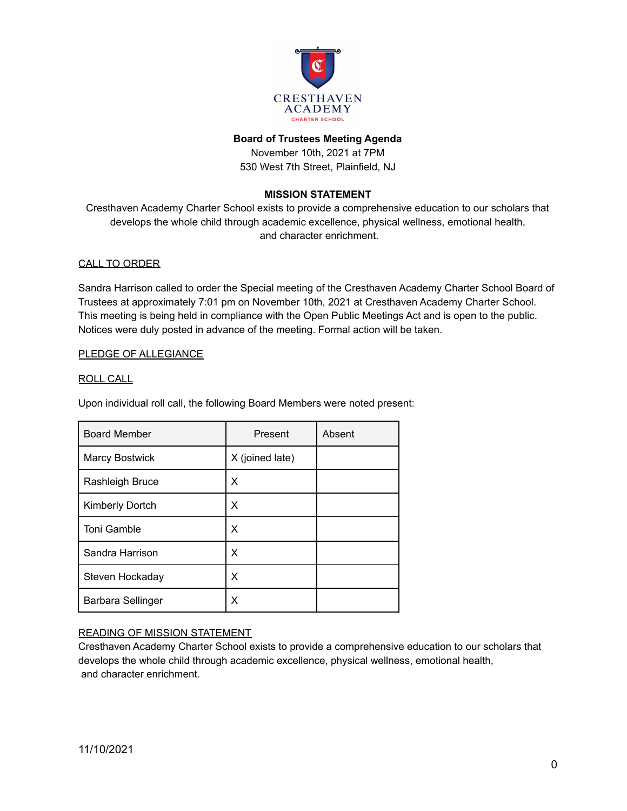

### **Board of Trustees Meeting Agenda**

November 10th, 2021 at 7PM 530 West 7th Street, Plainfield, NJ

# **MISSION STATEMENT**

Cresthaven Academy Charter School exists to provide a comprehensive education to our scholars that develops the whole child through academic excellence, physical wellness, emotional health, and character enrichment.

### CALL TO ORDER

Sandra Harrison called to order the Special meeting of the Cresthaven Academy Charter School Board of Trustees at approximately 7:01 pm on November 10th, 2021 at Cresthaven Academy Charter School. This meeting is being held in compliance with the Open Public Meetings Act and is open to the public. Notices were duly posted in advance of the meeting. Formal action will be taken.

### PLEDGE OF ALLEGIANCE

#### ROLL CALL

Upon individual roll call, the following Board Members were noted present:

| <b>Board Member</b>    | Present         | Absent |
|------------------------|-----------------|--------|
| <b>Marcy Bostwick</b>  | X (joined late) |        |
| Rashleigh Bruce        | x               |        |
| <b>Kimberly Dortch</b> | х               |        |
| <b>Toni Gamble</b>     | X               |        |
| Sandra Harrison        | X               |        |
| Steven Hockaday        | x               |        |
| Barbara Sellinger      | X               |        |

## READING OF MISSION STATEMENT

Cresthaven Academy Charter School exists to provide a comprehensive education to our scholars that develops the whole child through academic excellence, physical wellness, emotional health, and character enrichment.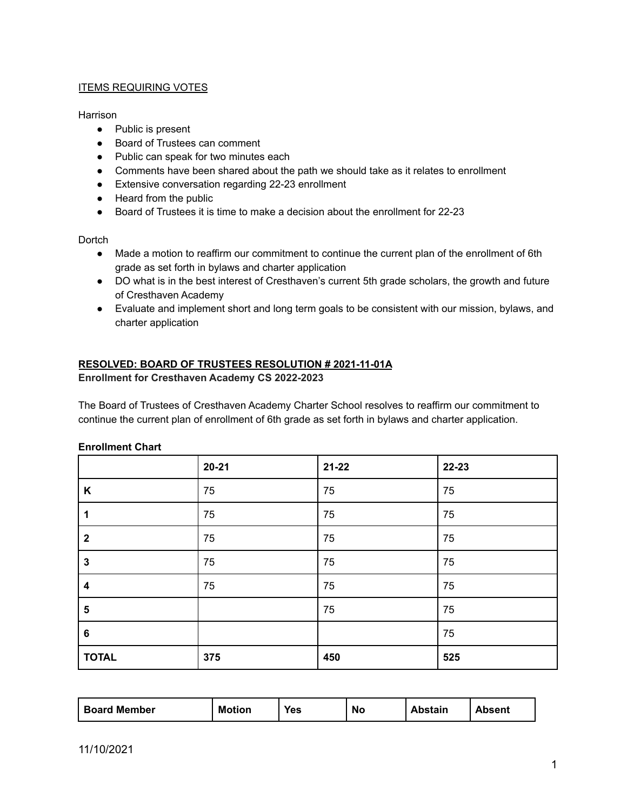## **ITEMS REQUIRING VOTES**

## Harrison

- Public is present
- Board of Trustees can comment
- Public can speak for two minutes each
- Comments have been shared about the path we should take as it relates to enrollment
- Extensive conversation regarding 22-23 enrollment
- Heard from the public
- Board of Trustees it is time to make a decision about the enrollment for 22-23

**Dortch** 

- Made a motion to reaffirm our commitment to continue the current plan of the enrollment of 6th grade as set forth in bylaws and charter application
- DO what is in the best interest of Cresthaven's current 5th grade scholars, the growth and future of Cresthaven Academy
- Evaluate and implement short and long term goals to be consistent with our mission, bylaws, and charter application

## **RESOLVED: BOARD OF TRUSTEES RESOLUTION # 2021-11-01A**

### **Enrollment for Cresthaven Academy CS 2022-2023**

The Board of Trustees of Cresthaven Academy Charter School resolves to reaffirm our commitment to continue the current plan of enrollment of 6th grade as set forth in bylaws and charter application.

|                         | $20 - 21$ | $21 - 22$ | 22-23 |
|-------------------------|-----------|-----------|-------|
| K                       | 75        | 75        | 75    |
| 1                       | 75        | 75        | 75    |
| $\mathbf{2}$            | 75        | 75        | 75    |
| $\mathbf{3}$            | 75        | 75        | 75    |
| $\boldsymbol{4}$        | 75        | 75        | 75    |
| $\overline{\mathbf{5}}$ |           | 75        | 75    |
| $\bf 6$                 |           |           | 75    |
| <b>TOTAL</b>            | 375       | 450       | 525   |

#### **Enrollment Chart**

| <b>Board Member</b> | <b>Motion</b> | Yes | No | <b>Abstain</b> | <b>Absent</b> |
|---------------------|---------------|-----|----|----------------|---------------|
|---------------------|---------------|-----|----|----------------|---------------|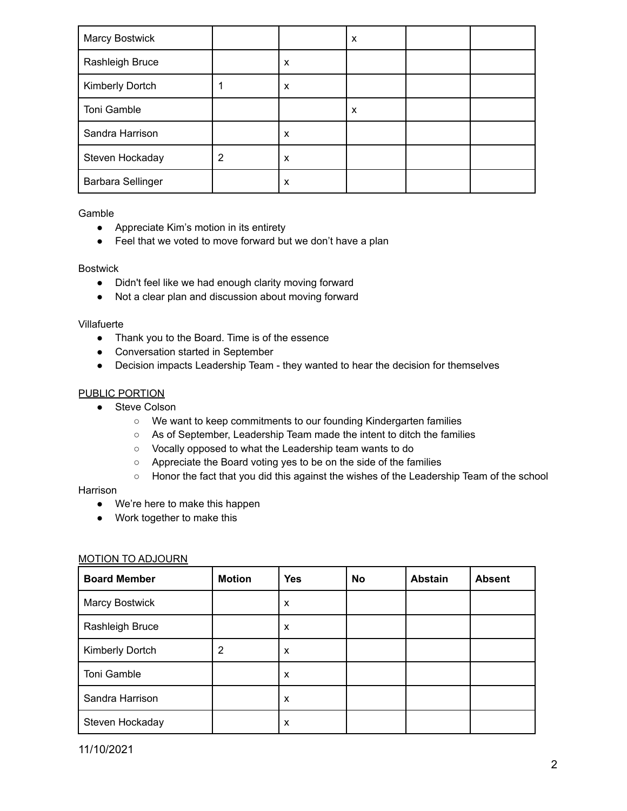| <b>Marcy Bostwick</b> |   |   | X |  |
|-----------------------|---|---|---|--|
| Rashleigh Bruce       |   | X |   |  |
| Kimberly Dortch       |   | X |   |  |
| Toni Gamble           |   |   | X |  |
| Sandra Harrison       |   | X |   |  |
| Steven Hockaday       | 2 | X |   |  |
| Barbara Sellinger     |   | X |   |  |

Gamble

- Appreciate Kim's motion in its entirety
- Feel that we voted to move forward but we don't have a plan

### Bostwick

- Didn't feel like we had enough clarity moving forward
- Not a clear plan and discussion about moving forward

### Villafuerte

- Thank you to the Board. Time is of the essence
- Conversation started in September
- Decision impacts Leadership Team they wanted to hear the decision for themselves

## PUBLIC PORTION

- Steve Colson
	- We want to keep commitments to our founding Kindergarten families
	- As of September, Leadership Team made the intent to ditch the families
	- Vocally opposed to what the Leadership team wants to do
	- Appreciate the Board voting yes to be on the side of the families
	- Honor the fact that you did this against the wishes of the Leadership Team of the school

#### Harrison

- We're here to make this happen
- Work together to make this

## MOTION TO ADJOURN

| <b>Board Member</b> | <b>Motion</b> | <b>Yes</b> | <b>No</b> | <b>Abstain</b> | <b>Absent</b> |
|---------------------|---------------|------------|-----------|----------------|---------------|
| Marcy Bostwick      |               | X          |           |                |               |
| Rashleigh Bruce     |               | X          |           |                |               |
| Kimberly Dortch     | 2             | X          |           |                |               |
| Toni Gamble         |               | X          |           |                |               |
| Sandra Harrison     |               | X          |           |                |               |
| Steven Hockaday     |               | X          |           |                |               |